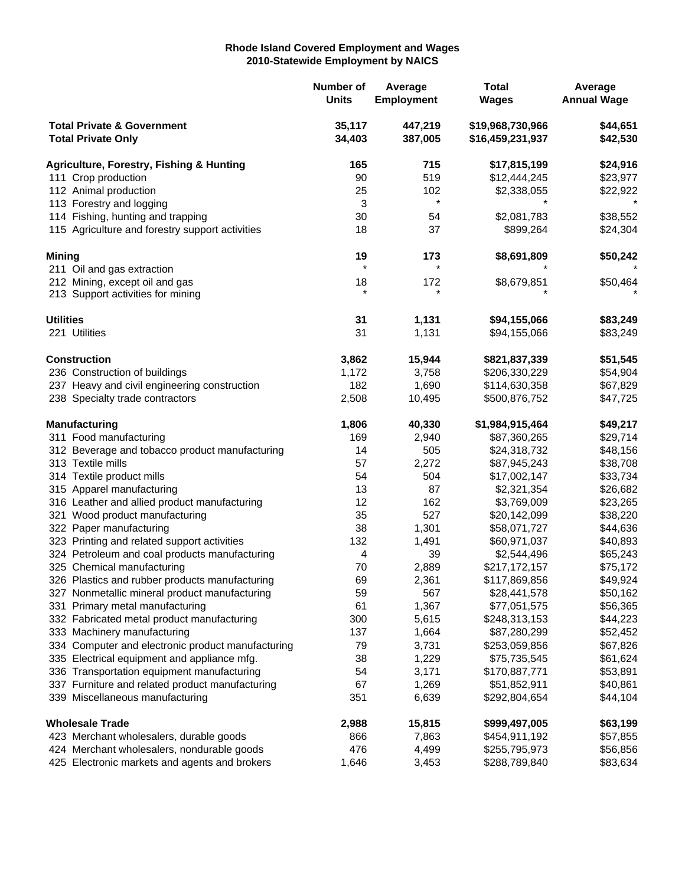## **Rhode Island Covered Employment and Wages 2010-Statewide Employment by NAICS**

|                                                                    |                                                     | Number of<br><b>Units</b> | Average<br><b>Employment</b> | <b>Total</b><br><b>Wages</b>         | Average<br><b>Annual Wage</b> |
|--------------------------------------------------------------------|-----------------------------------------------------|---------------------------|------------------------------|--------------------------------------|-------------------------------|
| <b>Total Private &amp; Government</b><br><b>Total Private Only</b> |                                                     | 35,117<br>34,403          | 447,219<br>387,005           | \$19,968,730,966<br>\$16,459,231,937 | \$44,651<br>\$42,530          |
|                                                                    | <b>Agriculture, Forestry, Fishing &amp; Hunting</b> | 165                       | 715                          | \$17,815,199                         | \$24,916                      |
| 111 Crop production                                                |                                                     | 90                        | 519                          | \$12,444,245                         | \$23,977                      |
|                                                                    | 112 Animal production                               | 25                        | 102                          | \$2,338,055                          | \$22,922                      |
|                                                                    | 113 Forestry and logging                            | 3                         | $\star$                      |                                      |                               |
|                                                                    | 114 Fishing, hunting and trapping                   | 30                        | 54                           | \$2,081,783                          | \$38,552                      |
|                                                                    | 115 Agriculture and forestry support activities     | 18                        | 37                           | \$899,264                            | \$24,304                      |
| <b>Mining</b>                                                      |                                                     | 19                        | 173                          | \$8,691,809                          | \$50,242                      |
|                                                                    | 211 Oil and gas extraction                          | $\star$                   | $\star$                      |                                      |                               |
|                                                                    | 212 Mining, except oil and gas                      | 18                        | 172                          | \$8,679,851                          | \$50,464                      |
|                                                                    | 213 Support activities for mining                   | $\star$                   | $\star$                      |                                      |                               |
| <b>Utilities</b>                                                   |                                                     | 31                        | 1,131                        | \$94,155,066                         | \$83,249                      |
|                                                                    | 221 Utilities                                       | 31                        | 1,131                        | \$94,155,066                         | \$83,249                      |
|                                                                    | <b>Construction</b>                                 | 3,862                     | 15,944                       | \$821,837,339                        | \$51,545                      |
|                                                                    | 236 Construction of buildings                       | 1,172                     | 3,758                        | \$206,330,229                        | \$54,904                      |
|                                                                    | 237 Heavy and civil engineering construction        | 182                       | 1,690                        | \$114,630,358                        | \$67,829                      |
|                                                                    | 238 Specialty trade contractors                     | 2,508                     | 10,495                       | \$500,876,752                        | \$47,725                      |
|                                                                    | <b>Manufacturing</b>                                | 1,806                     | 40,330                       | \$1,984,915,464                      | \$49,217                      |
|                                                                    | 311 Food manufacturing                              | 169                       | 2,940                        | \$87,360,265                         | \$29,714                      |
|                                                                    | 312 Beverage and tobacco product manufacturing      | 14                        | 505                          | \$24,318,732                         | \$48,156                      |
|                                                                    | 313 Textile mills                                   | 57                        | 2,272                        | \$87,945,243                         | \$38,708                      |
|                                                                    | 314 Textile product mills                           | 54                        | 504                          | \$17,002,147                         | \$33,734                      |
|                                                                    | 315 Apparel manufacturing                           | 13                        | 87                           | \$2,321,354                          | \$26,682                      |
|                                                                    | 316 Leather and allied product manufacturing        | 12                        | 162                          | \$3,769,009                          | \$23,265                      |
|                                                                    | 321 Wood product manufacturing                      | 35                        | 527                          | \$20,142,099                         | \$38,220                      |
|                                                                    | 322 Paper manufacturing                             | 38                        | 1,301                        | \$58,071,727                         | \$44,636                      |
|                                                                    | 323 Printing and related support activities         | 132                       | 1,491                        | \$60,971,037                         | \$40,893                      |
|                                                                    | 324 Petroleum and coal products manufacturing       | 4                         | 39                           | \$2,544,496                          | \$65,243                      |
|                                                                    | 325 Chemical manufacturing                          | 70                        | 2,889                        | \$217,172,157                        | \$75,172                      |
|                                                                    | 326 Plastics and rubber products manufacturing      | 69                        | 2,361                        | \$117,869,856                        | \$49,924                      |
|                                                                    | 327 Nonmetallic mineral product manufacturing       | 59                        | 567                          | \$28,441,578                         | \$50,162                      |
|                                                                    | 331 Primary metal manufacturing                     | 61                        | 1,367                        | \$77,051,575                         | \$56,365                      |
|                                                                    | 332 Fabricated metal product manufacturing          | 300                       | 5,615                        | \$248,313,153                        | \$44,223                      |
|                                                                    | 333 Machinery manufacturing                         | 137                       | 1,664                        | \$87,280,299                         | \$52,452                      |
|                                                                    | 334 Computer and electronic product manufacturing   | 79                        | 3,731                        | \$253,059,856                        | \$67,826                      |
|                                                                    | 335 Electrical equipment and appliance mfg.         | 38                        | 1,229                        | \$75,735,545                         | \$61,624                      |
|                                                                    | 336 Transportation equipment manufacturing          | 54                        | 3,171                        | \$170,887,771                        | \$53,891                      |
|                                                                    | 337 Furniture and related product manufacturing     | 67                        | 1,269                        | \$51,852,911                         | \$40,861                      |
|                                                                    | 339 Miscellaneous manufacturing                     | 351                       | 6,639                        | \$292,804,654                        | \$44,104                      |
| <b>Wholesale Trade</b>                                             |                                                     | 2,988                     | 15,815                       | \$999,497,005                        | \$63,199                      |
|                                                                    | 423 Merchant wholesalers, durable goods             | 866                       | 7,863                        | \$454,911,192                        | \$57,855                      |
|                                                                    | 424 Merchant wholesalers, nondurable goods          | 476                       | 4,499                        | \$255,795,973                        | \$56,856                      |
|                                                                    | 425 Electronic markets and agents and brokers       | 1,646                     | 3,453                        | \$288,789,840                        | \$83,634                      |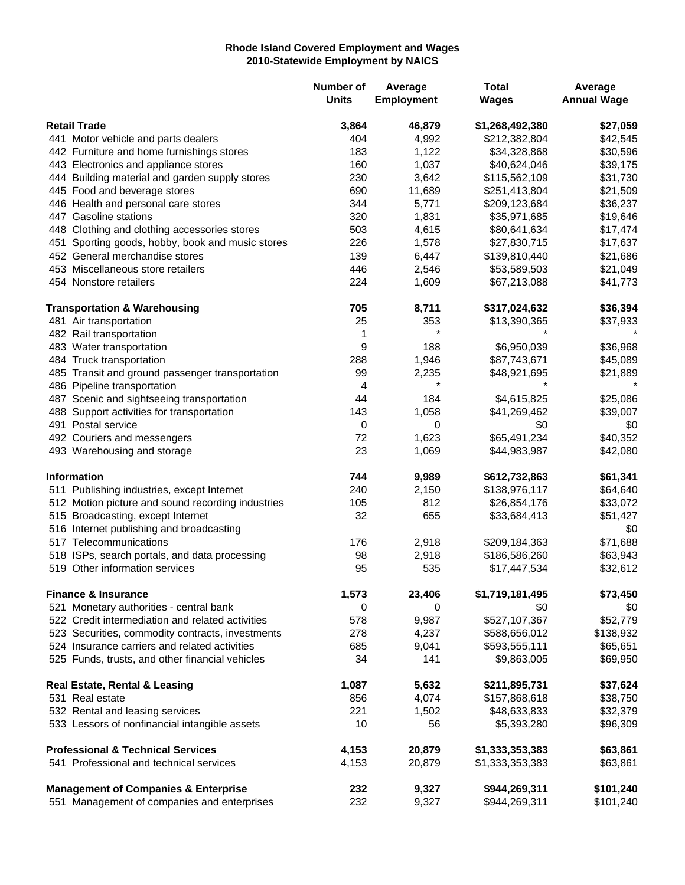## **Rhode Island Covered Employment and Wages 2010-Statewide Employment by NAICS**

|                                              |                                                             | Number of<br><b>Units</b> | Average<br><b>Employment</b> | <b>Total</b><br><b>Wages</b> | Average<br><b>Annual Wage</b> |
|----------------------------------------------|-------------------------------------------------------------|---------------------------|------------------------------|------------------------------|-------------------------------|
| <b>Retail Trade</b>                          |                                                             | 3,864                     | 46,879                       | \$1,268,492,380              | \$27,059                      |
|                                              | 441 Motor vehicle and parts dealers                         | 404                       | 4,992                        | \$212,382,804                | \$42,545                      |
|                                              | 442 Furniture and home furnishings stores                   | 183                       | 1,122                        | \$34,328,868                 | \$30,596                      |
|                                              | 443 Electronics and appliance stores                        | 160                       | 1,037                        | \$40,624,046                 | \$39,175                      |
|                                              | 444 Building material and garden supply stores              | 230                       | 3,642                        | \$115,562,109                | \$31,730                      |
|                                              | 445 Food and beverage stores                                | 690                       | 11,689                       | \$251,413,804                | \$21,509                      |
|                                              | 446 Health and personal care stores                         | 344                       | 5,771                        | \$209,123,684                | \$36,237                      |
|                                              | 447 Gasoline stations                                       | 320                       | 1,831                        | \$35,971,685                 | \$19,646                      |
|                                              | 448 Clothing and clothing accessories stores                | 503                       | 4,615                        | \$80,641,634                 | \$17,474                      |
|                                              |                                                             | 226                       | 1,578                        |                              |                               |
|                                              | 451 Sporting goods, hobby, book and music stores            |                           |                              | \$27,830,715                 | \$17,637                      |
|                                              | 452 General merchandise stores                              | 139                       | 6,447                        | \$139,810,440                | \$21,686                      |
|                                              | 453 Miscellaneous store retailers<br>454 Nonstore retailers | 446<br>224                | 2,546<br>1,609               | \$53,589,503<br>\$67,213,088 | \$21,049<br>\$41,773          |
|                                              | <b>Transportation &amp; Warehousing</b>                     | 705                       | 8,711                        | \$317,024,632                | \$36,394                      |
|                                              | 481 Air transportation                                      | 25                        | 353                          | \$13,390,365                 | \$37,933                      |
|                                              | 482 Rail transportation                                     | 1                         | $\star$                      |                              |                               |
|                                              | 483 Water transportation                                    | 9                         | 188                          | \$6,950,039                  | \$36,968                      |
|                                              | 484 Truck transportation                                    | 288                       | 1,946                        | \$87,743,671                 | \$45,089                      |
|                                              | 485 Transit and ground passenger transportation             | 99                        | 2,235                        | \$48,921,695                 | \$21,889                      |
|                                              | 486 Pipeline transportation                                 | 4                         |                              |                              |                               |
|                                              | 487 Scenic and sightseeing transportation                   | 44                        | 184                          | \$4,615,825                  | \$25,086                      |
|                                              | 488 Support activities for transportation                   | 143                       | 1,058                        | \$41,269,462                 | \$39,007                      |
|                                              | 491 Postal service                                          | 0                         | 0                            | \$0                          |                               |
|                                              |                                                             | 72                        | 1,623                        | \$65,491,234                 | \$0<br>\$40,352               |
|                                              | 492 Couriers and messengers<br>493 Warehousing and storage  | 23                        | 1,069                        | \$44,983,987                 | \$42,080                      |
|                                              | <b>Information</b>                                          | 744                       | 9,989                        | \$612,732,863                | \$61,341                      |
|                                              | 511 Publishing industries, except Internet                  | 240                       | 2,150                        | \$138,976,117                | \$64,640                      |
|                                              | 512 Motion picture and sound recording industries           | 105                       | 812                          | \$26,854,176                 | \$33,072                      |
|                                              | 515 Broadcasting, except Internet                           | 32                        | 655                          | \$33,684,413                 | \$51,427                      |
|                                              | 516 Internet publishing and broadcasting                    |                           |                              |                              | \$0                           |
|                                              | 517 Telecommunications                                      | 176                       | 2,918                        | \$209,184,363                | \$71,688                      |
|                                              | 518 ISPs, search portals, and data processing               | 98                        | 2,918                        | \$186,586,260                | \$63,943                      |
|                                              | 519 Other information services                              | 95                        | 535                          | \$17,447,534                 | \$32,612                      |
|                                              | <b>Finance &amp; Insurance</b>                              | 1,573                     | 23,406                       | \$1,719,181,495              | \$73,450                      |
|                                              | 521 Monetary authorities - central bank                     | 0                         | 0                            | \$0                          | \$0                           |
|                                              | 522 Credit intermediation and related activities            | 578                       | 9,987                        | \$527,107,367                | \$52,779                      |
|                                              | 523 Securities, commodity contracts, investments            | 278                       | 4,237                        | \$588,656,012                | \$138,932                     |
|                                              | 524 Insurance carriers and related activities               | 685                       | 9,041                        | \$593,555,111                | \$65,651                      |
|                                              | 525 Funds, trusts, and other financial vehicles             | 34                        | 141                          | \$9,863,005                  | \$69,950                      |
|                                              | <b>Real Estate, Rental &amp; Leasing</b>                    | 1,087                     | 5,632                        | \$211,895,731                | \$37,624                      |
|                                              | 531 Real estate                                             | 856                       | 4,074                        | \$157,868,618                | \$38,750                      |
|                                              | 532 Rental and leasing services                             | 221                       | 1,502                        | \$48,633,833                 | \$32,379                      |
|                                              | 533 Lessors of nonfinancial intangible assets               | 10                        | 56                           | \$5,393,280                  | \$96,309                      |
| <b>Professional &amp; Technical Services</b> |                                                             | 4,153                     | 20,879                       | \$1,333,353,383              | \$63,861                      |
|                                              | 541 Professional and technical services                     | 4,153                     | 20,879                       | \$1,333,353,383              | \$63,861                      |
|                                              | <b>Management of Companies &amp; Enterprise</b>             | 232                       | 9,327                        | \$944,269,311                | \$101,240                     |
|                                              | 551 Management of companies and enterprises                 | 232                       | 9,327                        | \$944,269,311                | \$101,240                     |